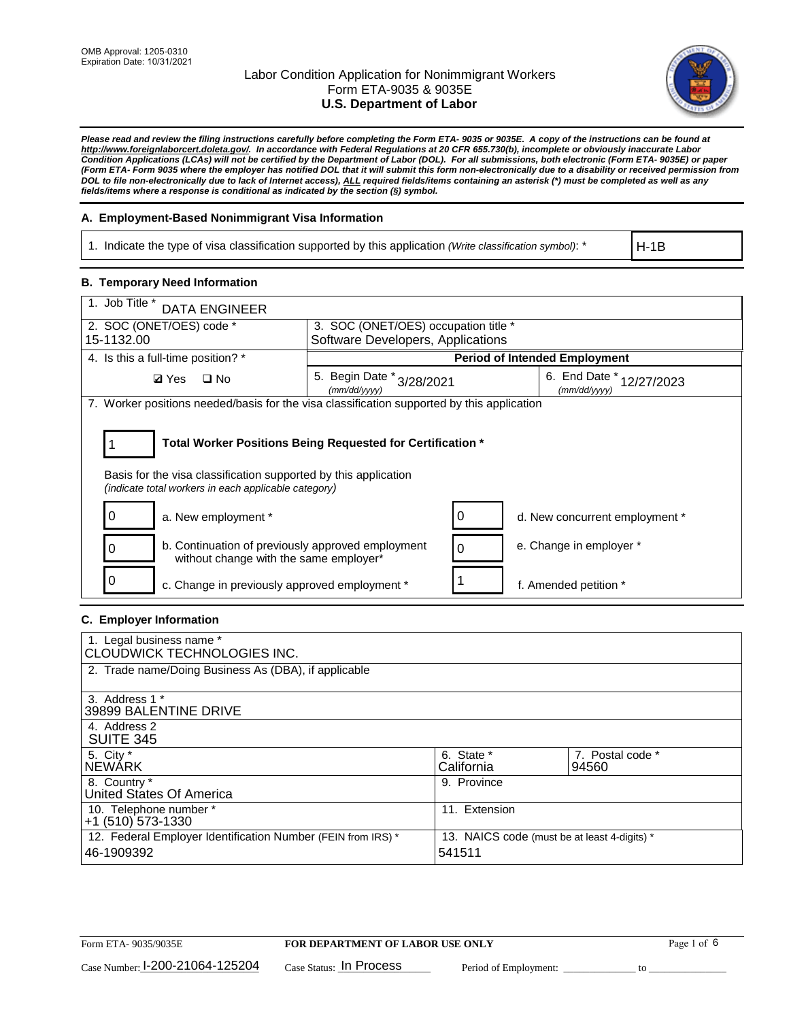

*Please read and review the filing instructions carefully before completing the Form ETA- 9035 or 9035E. A copy of the instructions can be found at [http://www.foreignlaborcert.doleta.gov/.](http://www.foreignlaborcert.doleta.gov/) In accordance with Federal Regulations at 20 CFR 655.730(b), incomplete or obviously inaccurate Labor Condition Applications (LCAs) will not be certified by the Department of Labor (DOL). For all submissions, both electronic (Form ETA- 9035E) or paper (Form ETA- Form 9035 where the employer has notified DOL that it will submit this form non-electronically due to a disability or received permission from DOL to file non-electronically due to lack of Internet access), ALL required fields/items containing an asterisk (\*) must be completed as well as any fields/items where a response is conditional as indicated by the section (§) symbol.* 

### **A. Employment-Based Nonimmigrant Visa Information**

1. Indicate the type of visa classification supported by this application *(Write classification symbol)*: \*

H-1B

### **B. Temporary Need Information**

| 1. Job Title *<br><b>DATA ENGINEER</b>                                                                                  |                                                                           |                                             |  |  |  |  |
|-------------------------------------------------------------------------------------------------------------------------|---------------------------------------------------------------------------|---------------------------------------------|--|--|--|--|
| 2. SOC (ONET/OES) code *<br>15-1132.00                                                                                  | 3. SOC (ONET/OES) occupation title *<br>Software Developers, Applications |                                             |  |  |  |  |
|                                                                                                                         |                                                                           |                                             |  |  |  |  |
| 4. Is this a full-time position? *                                                                                      | <b>Period of Intended Employment</b>                                      |                                             |  |  |  |  |
| $\Box$ No<br><b>Ø</b> Yes                                                                                               | 5. Begin Date *<br>3/28/2021<br>(mm/dd/yyyy)                              | 6. End Date *<br>12/27/2023<br>(mm/dd/yyyy) |  |  |  |  |
| 7. Worker positions needed/basis for the visa classification supported by this application                              |                                                                           |                                             |  |  |  |  |
| Basis for the visa classification supported by this application<br>(indicate total workers in each applicable category) | Total Worker Positions Being Requested for Certification *                |                                             |  |  |  |  |
| 0<br>a. New employment *                                                                                                | 0                                                                         | d. New concurrent employment *              |  |  |  |  |
| b. Continuation of previously approved employment<br>without change with the same employer*                             | 0                                                                         | e. Change in employer *                     |  |  |  |  |
| c. Change in previously approved employment *                                                                           |                                                                           | f. Amended petition *                       |  |  |  |  |

### **C. Employer Information**

| 1. Legal business name *<br>CLOUDWICK TECHNOLOGIES INC.                    |                                                        |                           |
|----------------------------------------------------------------------------|--------------------------------------------------------|---------------------------|
| 2. Trade name/Doing Business As (DBA), if applicable                       |                                                        |                           |
| 3. Address 1 *<br>39899 BALENTINE DRIVE                                    |                                                        |                           |
| 4. Address 2<br><b>SUITE 345</b>                                           |                                                        |                           |
| 5. City *<br><b>NEWARK</b>                                                 | 6. State *<br>California                               | 7. Postal code *<br>94560 |
| 8. Country *<br>United States Of America                                   | 9. Province                                            |                           |
| 10. Telephone number *<br>$+1$ (510) 573-1330                              | 11. Extension                                          |                           |
| 12. Federal Employer Identification Number (FEIN from IRS) *<br>46-1909392 | 13. NAICS code (must be at least 4-digits) *<br>541511 |                           |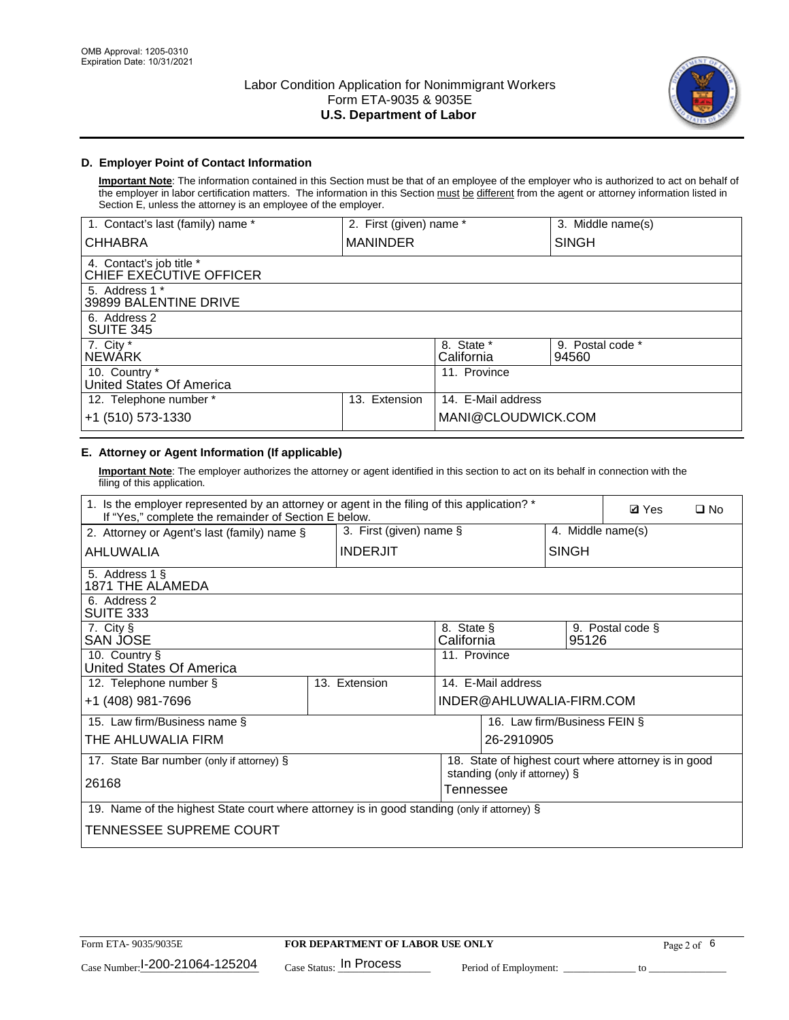

## **D. Employer Point of Contact Information**

**Important Note**: The information contained in this Section must be that of an employee of the employer who is authorized to act on behalf of the employer in labor certification matters. The information in this Section must be different from the agent or attorney information listed in Section E, unless the attorney is an employee of the employer.

| 1. Contact's last (family) name *                   | 2. First (given) name * |                          | 3. Middle name(s)         |
|-----------------------------------------------------|-------------------------|--------------------------|---------------------------|
| <b>CHHABRA</b>                                      | <b>MANINDER</b>         |                          | <b>SINGH</b>              |
| 4. Contact's job title *<br>CHIEF EXECUTIVE OFFICER |                         |                          |                           |
| 5. Address 1 *<br>39899 BALENTINE DRIVE             |                         |                          |                           |
| 6. Address 2<br><b>SUITE 345</b>                    |                         |                          |                           |
| 7. City *<br><b>NEWÁRK</b>                          |                         | 8. State *<br>California | 9. Postal code *<br>94560 |
| 10. Country *<br>United States Of America           |                         | 11. Province             |                           |
| 12. Telephone number *                              | Extension<br>13.        | 14. E-Mail address       |                           |
| +1 (510) 573-1330                                   |                         | MANI@CLOUDWICK.COM       |                           |

# **E. Attorney or Agent Information (If applicable)**

**Important Note**: The employer authorizes the attorney or agent identified in this section to act on its behalf in connection with the filing of this application.

| 1. Is the employer represented by an attorney or agent in the filing of this application? *<br>If "Yes," complete the remainder of Section E below. |  |                 |                                                 |                               |                              | <b>Ø</b> Yes<br>$\square$ No                         |  |
|-----------------------------------------------------------------------------------------------------------------------------------------------------|--|-----------------|-------------------------------------------------|-------------------------------|------------------------------|------------------------------------------------------|--|
| 2. Attorney or Agent's last (family) name §                                                                                                         |  |                 | 3. First (given) name $\S$<br>4. Middle name(s) |                               |                              |                                                      |  |
| AHLUWALIA                                                                                                                                           |  | <b>INDERJIT</b> |                                                 |                               | <b>SINGH</b>                 |                                                      |  |
| 5. Address 1 §<br>1871 THE ALAMEDA                                                                                                                  |  |                 |                                                 |                               |                              |                                                      |  |
| 6. Address 2<br>SUITE 333                                                                                                                           |  |                 |                                                 |                               |                              |                                                      |  |
| 7. City §<br>SAN JOSE                                                                                                                               |  |                 | 8. State §<br>California                        |                               | 95126                        | 9. Postal code §                                     |  |
| 10. Country §<br>United States Of America                                                                                                           |  |                 | 11. Province                                    |                               |                              |                                                      |  |
| 12. Telephone number §                                                                                                                              |  | 13. Extension   |                                                 | 14. E-Mail address            |                              |                                                      |  |
| +1 (408) 981-7696                                                                                                                                   |  |                 |                                                 | INDER@AHLUWALIA-FIRM.COM      |                              |                                                      |  |
| 15. Law firm/Business name §                                                                                                                        |  |                 |                                                 |                               | 16. Law firm/Business FEIN § |                                                      |  |
| THE AHLUWALIA FIRM                                                                                                                                  |  |                 |                                                 | 26-2910905                    |                              |                                                      |  |
| 17. State Bar number (only if attorney) §                                                                                                           |  |                 |                                                 | standing (only if attorney) § |                              | 18. State of highest court where attorney is in good |  |
| 26168                                                                                                                                               |  |                 | Tennessee                                       |                               |                              |                                                      |  |
| 19. Name of the highest State court where attorney is in good standing (only if attorney) §                                                         |  |                 |                                                 |                               |                              |                                                      |  |
| TENNESSEE SUPREME COURT                                                                                                                             |  |                 |                                                 |                               |                              |                                                      |  |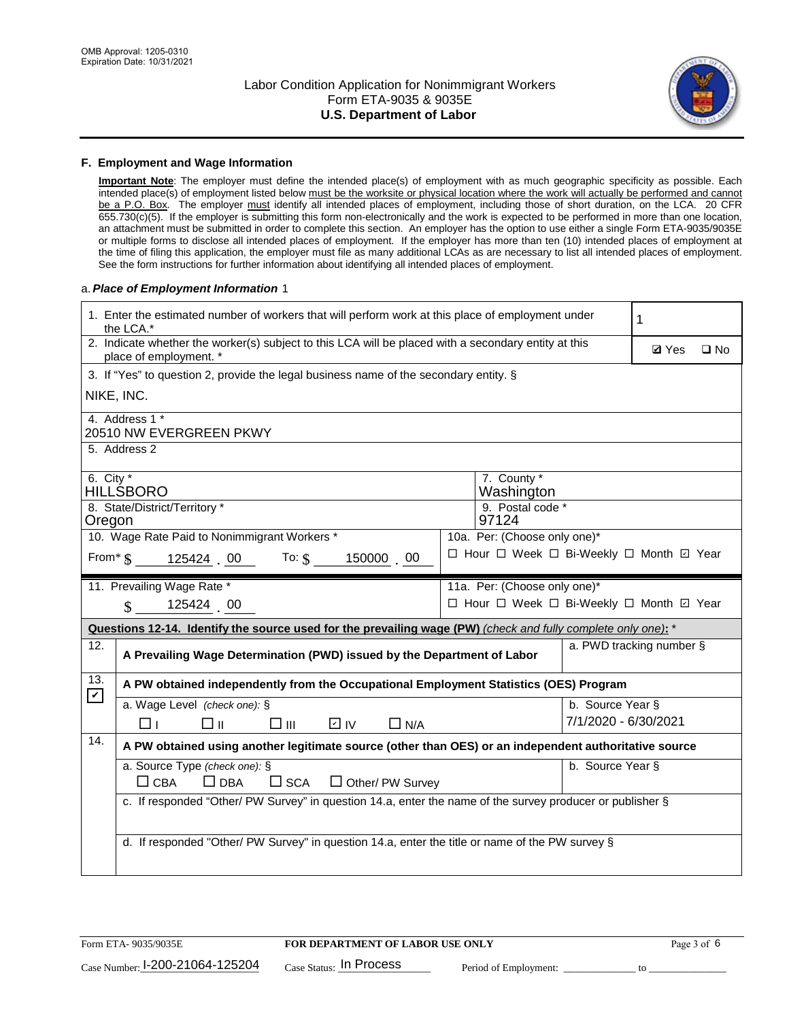

#### **F. Employment and Wage Information**

**Important Note**: The employer must define the intended place(s) of employment with as much geographic specificity as possible. Each intended place(s) of employment listed below must be the worksite or physical location where the work will actually be performed and cannot be a P.O. Box. The employer must identify all intended places of employment, including those of short duration, on the LCA. 20 CFR 655.730(c)(5). If the employer is submitting this form non-electronically and the work is expected to be performed in more than one location, an attachment must be submitted in order to complete this section. An employer has the option to use either a single Form ETA-9035/9035E or multiple forms to disclose all intended places of employment. If the employer has more than ten (10) intended places of employment at the time of filing this application, the employer must file as many additional LCAs as are necessary to list all intended places of employment. See the form instructions for further information about identifying all intended places of employment.

#### a.*Place of Employment Information* 1

|                                                                              | 1. Enter the estimated number of workers that will perform work at this place of employment under<br>the LCA.*                 |  | 1                                        |                      |                          |              |  |  |
|------------------------------------------------------------------------------|--------------------------------------------------------------------------------------------------------------------------------|--|------------------------------------------|----------------------|--------------------------|--------------|--|--|
|                                                                              | 2. Indicate whether the worker(s) subject to this LCA will be placed with a secondary entity at this<br>place of employment. * |  |                                          |                      | <b>Ø</b> Yes             | $\square$ No |  |  |
|                                                                              | 3. If "Yes" to question 2, provide the legal business name of the secondary entity. §                                          |  |                                          |                      |                          |              |  |  |
|                                                                              | NIKE, INC.                                                                                                                     |  |                                          |                      |                          |              |  |  |
|                                                                              | 4. Address 1 *<br>20510 NW EVERGREEN PKWY                                                                                      |  |                                          |                      |                          |              |  |  |
|                                                                              | 5. Address 2                                                                                                                   |  |                                          |                      |                          |              |  |  |
|                                                                              | 6. City $*$<br>7. County *<br><b>HILLSBORO</b><br>Washington                                                                   |  |                                          |                      |                          |              |  |  |
| Oregon                                                                       | 8. State/District/Territory *                                                                                                  |  | 9. Postal code *<br>97124                |                      |                          |              |  |  |
| 10. Wage Rate Paid to Nonimmigrant Workers *<br>10a. Per: (Choose only one)* |                                                                                                                                |  |                                          |                      |                          |              |  |  |
|                                                                              | □ Hour □ Week □ Bi-Weekly □ Month ☑ Year<br>From $\frac{1}{3}$ 125424 00 To: $\frac{1}{3}$ 150000 00                           |  |                                          |                      |                          |              |  |  |
|                                                                              | 11. Prevailing Wage Rate *<br>11a. Per: (Choose only one)*                                                                     |  |                                          |                      |                          |              |  |  |
|                                                                              | 125424 00<br>$\mathbf{\$}$                                                                                                     |  | □ Hour □ Week □ Bi-Weekly □ Month ☑ Year |                      |                          |              |  |  |
|                                                                              | Questions 12-14. Identify the source used for the prevailing wage (PW) (check and fully complete only one): *                  |  |                                          |                      |                          |              |  |  |
| 12.                                                                          | A Prevailing Wage Determination (PWD) issued by the Department of Labor                                                        |  |                                          |                      | a. PWD tracking number § |              |  |  |
| 13.                                                                          | A PW obtained independently from the Occupational Employment Statistics (OES) Program                                          |  |                                          |                      |                          |              |  |  |
| $\mathbf v$                                                                  | a. Wage Level (check one): §                                                                                                   |  |                                          | b. Source Year §     |                          |              |  |  |
|                                                                              | D IV<br>□⊪<br>$\square$ $\square$<br>$\Box$ N/A<br>□⊥                                                                          |  |                                          | 7/1/2020 - 6/30/2021 |                          |              |  |  |
| 14.                                                                          | A PW obtained using another legitimate source (other than OES) or an independent authoritative source                          |  |                                          |                      |                          |              |  |  |
|                                                                              | a. Source Type (check one): §<br>b. Source Year §<br>$\Box$ CBA<br>$\Box$ DBA<br>$\square$ SCA<br>$\Box$ Other/ PW Survey      |  |                                          |                      |                          |              |  |  |
|                                                                              | c. If responded "Other/ PW Survey" in question 14.a, enter the name of the survey producer or publisher §                      |  |                                          |                      |                          |              |  |  |
|                                                                              | d. If responded "Other/ PW Survey" in question 14.a, enter the title or name of the PW survey §                                |  |                                          |                      |                          |              |  |  |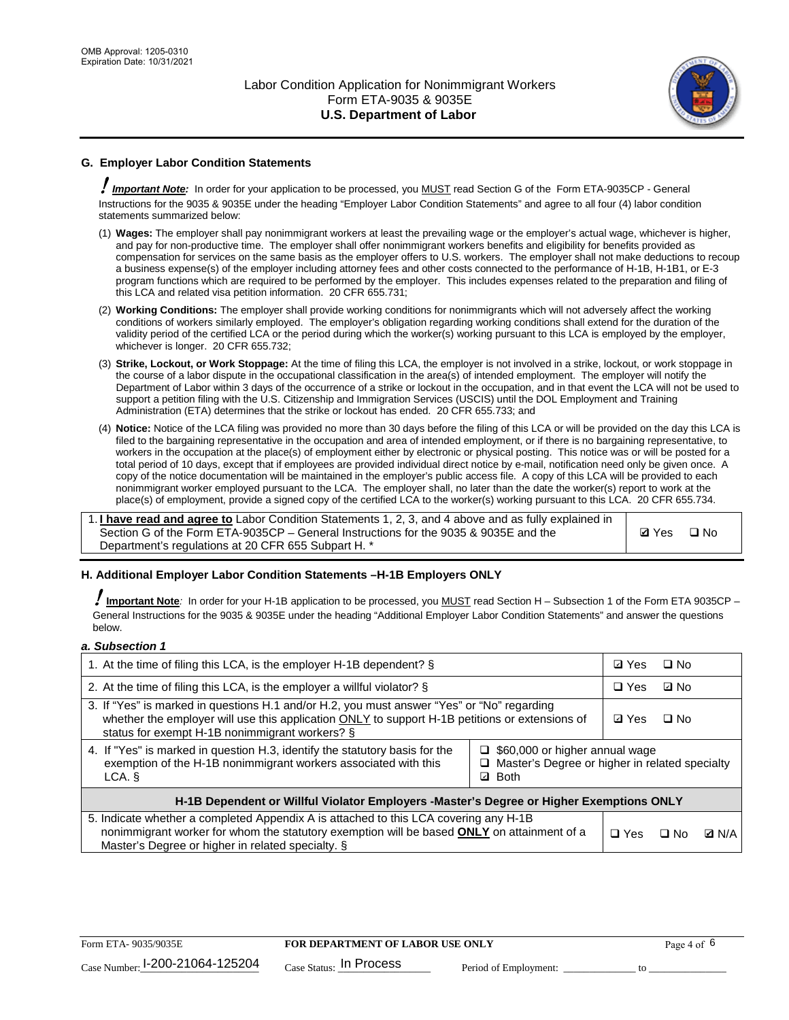

## **G. Employer Labor Condition Statements**

! *Important Note:* In order for your application to be processed, you MUST read Section G of the Form ETA-9035CP - General Instructions for the 9035 & 9035E under the heading "Employer Labor Condition Statements" and agree to all four (4) labor condition statements summarized below:

- (1) **Wages:** The employer shall pay nonimmigrant workers at least the prevailing wage or the employer's actual wage, whichever is higher, and pay for non-productive time. The employer shall offer nonimmigrant workers benefits and eligibility for benefits provided as compensation for services on the same basis as the employer offers to U.S. workers. The employer shall not make deductions to recoup a business expense(s) of the employer including attorney fees and other costs connected to the performance of H-1B, H-1B1, or E-3 program functions which are required to be performed by the employer. This includes expenses related to the preparation and filing of this LCA and related visa petition information. 20 CFR 655.731;
- (2) **Working Conditions:** The employer shall provide working conditions for nonimmigrants which will not adversely affect the working conditions of workers similarly employed. The employer's obligation regarding working conditions shall extend for the duration of the validity period of the certified LCA or the period during which the worker(s) working pursuant to this LCA is employed by the employer, whichever is longer. 20 CFR 655.732;
- (3) **Strike, Lockout, or Work Stoppage:** At the time of filing this LCA, the employer is not involved in a strike, lockout, or work stoppage in the course of a labor dispute in the occupational classification in the area(s) of intended employment. The employer will notify the Department of Labor within 3 days of the occurrence of a strike or lockout in the occupation, and in that event the LCA will not be used to support a petition filing with the U.S. Citizenship and Immigration Services (USCIS) until the DOL Employment and Training Administration (ETA) determines that the strike or lockout has ended. 20 CFR 655.733; and
- (4) **Notice:** Notice of the LCA filing was provided no more than 30 days before the filing of this LCA or will be provided on the day this LCA is filed to the bargaining representative in the occupation and area of intended employment, or if there is no bargaining representative, to workers in the occupation at the place(s) of employment either by electronic or physical posting. This notice was or will be posted for a total period of 10 days, except that if employees are provided individual direct notice by e-mail, notification need only be given once. A copy of the notice documentation will be maintained in the employer's public access file. A copy of this LCA will be provided to each nonimmigrant worker employed pursuant to the LCA. The employer shall, no later than the date the worker(s) report to work at the place(s) of employment, provide a signed copy of the certified LCA to the worker(s) working pursuant to this LCA. 20 CFR 655.734.

1. **I have read and agree to** Labor Condition Statements 1, 2, 3, and 4 above and as fully explained in Section G of the Form ETA-9035CP – General Instructions for the 9035 & 9035E and the Department's regulations at 20 CFR 655 Subpart H. \*

**Ø**Yes ロNo

### **H. Additional Employer Labor Condition Statements –H-1B Employers ONLY**

!**Important Note***:* In order for your H-1B application to be processed, you MUST read Section H – Subsection 1 of the Form ETA 9035CP – General Instructions for the 9035 & 9035E under the heading "Additional Employer Labor Condition Statements" and answer the questions below.

#### *a. Subsection 1*

| 1. At the time of filing this LCA, is the employer H-1B dependent? §                                                                                                                                                                           | ⊡ Yes                                                                                     | $\square$ No |              |  |  |  |
|------------------------------------------------------------------------------------------------------------------------------------------------------------------------------------------------------------------------------------------------|-------------------------------------------------------------------------------------------|--------------|--------------|--|--|--|
| 2. At the time of filing this LCA, is the employer a willful violator? $\S$                                                                                                                                                                    | $\Box$ Yes                                                                                | ⊡ No         |              |  |  |  |
| 3. If "Yes" is marked in questions H.1 and/or H.2, you must answer "Yes" or "No" regarding<br>whether the employer will use this application ONLY to support H-1B petitions or extensions of<br>status for exempt H-1B nonimmigrant workers? § | <b>☑</b> Yes                                                                              | $\Box$ No    |              |  |  |  |
| 4. If "Yes" is marked in question H.3, identify the statutory basis for the<br>exemption of the H-1B nonimmigrant workers associated with this<br>LCA. §                                                                                       | $\Box$ \$60,000 or higher annual wage<br>□ Master's Degree or higher in related specialty |              |              |  |  |  |
| H-1B Dependent or Willful Violator Employers -Master's Degree or Higher Exemptions ONLY                                                                                                                                                        |                                                                                           |              |              |  |  |  |
| 5. Indicate whether a completed Appendix A is attached to this LCA covering any H-1B<br>nonimmigrant worker for whom the statutory exemption will be based <b>ONLY</b> on attainment of a<br>Master's Degree or higher in related specialty. § | $\Box$ Yes                                                                                | ⊟ No         | <b>Q</b> N/A |  |  |  |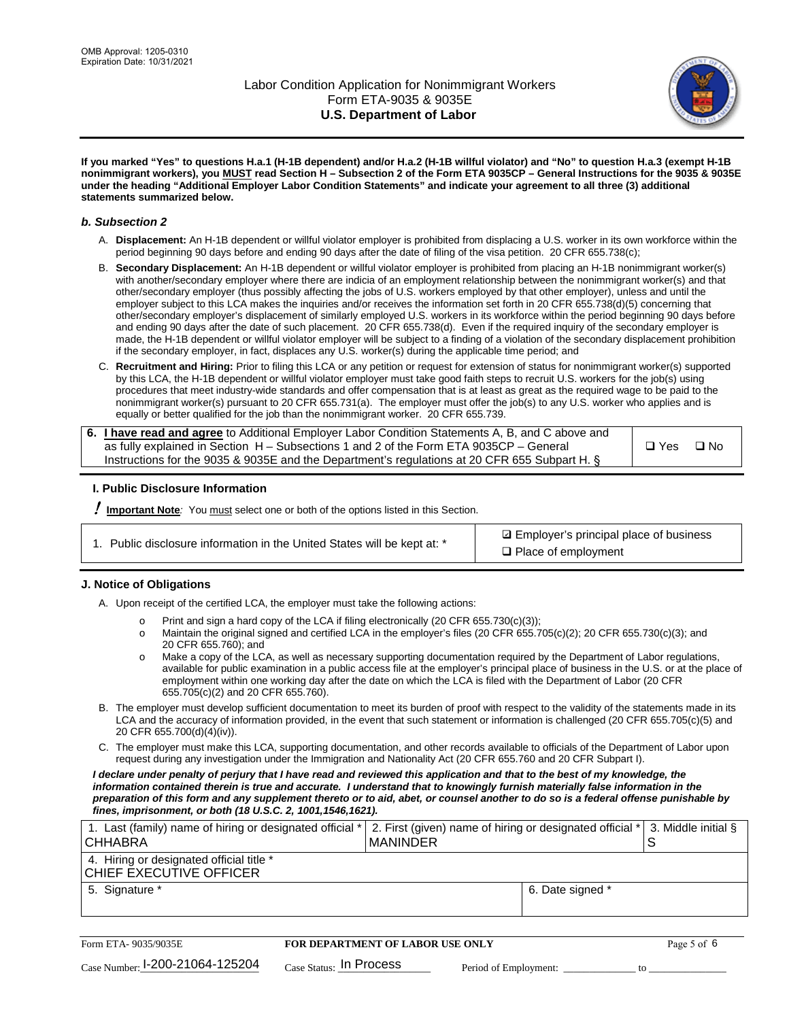

**If you marked "Yes" to questions H.a.1 (H-1B dependent) and/or H.a.2 (H-1B willful violator) and "No" to question H.a.3 (exempt H-1B nonimmigrant workers), you MUST read Section H – Subsection 2 of the Form ETA 9035CP – General Instructions for the 9035 & 9035E under the heading "Additional Employer Labor Condition Statements" and indicate your agreement to all three (3) additional statements summarized below.**

#### *b. Subsection 2*

- A. **Displacement:** An H-1B dependent or willful violator employer is prohibited from displacing a U.S. worker in its own workforce within the period beginning 90 days before and ending 90 days after the date of filing of the visa petition. 20 CFR 655.738(c);
- B. **Secondary Displacement:** An H-1B dependent or willful violator employer is prohibited from placing an H-1B nonimmigrant worker(s) with another/secondary employer where there are indicia of an employment relationship between the nonimmigrant worker(s) and that other/secondary employer (thus possibly affecting the jobs of U.S. workers employed by that other employer), unless and until the employer subject to this LCA makes the inquiries and/or receives the information set forth in 20 CFR 655.738(d)(5) concerning that other/secondary employer's displacement of similarly employed U.S. workers in its workforce within the period beginning 90 days before and ending 90 days after the date of such placement. 20 CFR 655.738(d). Even if the required inquiry of the secondary employer is made, the H-1B dependent or willful violator employer will be subject to a finding of a violation of the secondary displacement prohibition if the secondary employer, in fact, displaces any U.S. worker(s) during the applicable time period; and
- C. **Recruitment and Hiring:** Prior to filing this LCA or any petition or request for extension of status for nonimmigrant worker(s) supported by this LCA, the H-1B dependent or willful violator employer must take good faith steps to recruit U.S. workers for the job(s) using procedures that meet industry-wide standards and offer compensation that is at least as great as the required wage to be paid to the nonimmigrant worker(s) pursuant to 20 CFR 655.731(a). The employer must offer the job(s) to any U.S. worker who applies and is equally or better qualified for the job than the nonimmigrant worker. 20 CFR 655.739.

| 6. I have read and agree to Additional Employer Labor Condition Statements A, B, and C above and |       |           |
|--------------------------------------------------------------------------------------------------|-------|-----------|
| as fully explained in Section H – Subsections 1 and 2 of the Form ETA 9035CP – General           | □ Yes | $\Box$ No |
| Instructions for the 9035 & 9035E and the Department's regulations at 20 CFR 655 Subpart H. §    |       |           |

### **I. Public Disclosure Information**

! **Important Note***:* You must select one or both of the options listed in this Section.

| 1. Public disclosure information in the United States will be kept at: * |  |  |  |  |  |  |
|--------------------------------------------------------------------------|--|--|--|--|--|--|
|--------------------------------------------------------------------------|--|--|--|--|--|--|

**sqrt** Employer's principal place of business □ Place of employment

### **J. Notice of Obligations**

A. Upon receipt of the certified LCA, the employer must take the following actions:

- o Print and sign a hard copy of the LCA if filing electronically (20 CFR 655.730(c)(3));<br>
Maintain the original signed and certified LCA in the employer's files (20 CFR 655.7
- Maintain the original signed and certified LCA in the employer's files (20 CFR 655.705(c)(2); 20 CFR 655.730(c)(3); and 20 CFR 655.760); and
- o Make a copy of the LCA, as well as necessary supporting documentation required by the Department of Labor regulations, available for public examination in a public access file at the employer's principal place of business in the U.S. or at the place of employment within one working day after the date on which the LCA is filed with the Department of Labor (20 CFR 655.705(c)(2) and 20 CFR 655.760).
- B. The employer must develop sufficient documentation to meet its burden of proof with respect to the validity of the statements made in its LCA and the accuracy of information provided, in the event that such statement or information is challenged (20 CFR 655.705(c)(5) and 20 CFR 655.700(d)(4)(iv)).
- C. The employer must make this LCA, supporting documentation, and other records available to officials of the Department of Labor upon request during any investigation under the Immigration and Nationality Act (20 CFR 655.760 and 20 CFR Subpart I).

*I declare under penalty of perjury that I have read and reviewed this application and that to the best of my knowledge, the*  information contained therein is true and accurate. I understand that to knowingly furnish materially false information in the *preparation of this form and any supplement thereto or to aid, abet, or counsel another to do so is a federal offense punishable by fines, imprisonment, or both (18 U.S.C. 2, 1001,1546,1621).*

| 1. Last (family) name of hiring or designated official *<br><b>CHHABRA</b> |                         | <b>MANINDER</b>                         |                       | 2. First (given) name of hiring or designated official * | S  | 3. Middle initial § |
|----------------------------------------------------------------------------|-------------------------|-----------------------------------------|-----------------------|----------------------------------------------------------|----|---------------------|
| 4. Hiring or designated official title *<br>CHIEF EXECUTIVE OFFICER        |                         |                                         |                       |                                                          |    |                     |
| 5. Signature *                                                             |                         |                                         |                       | 6. Date signed *                                         |    |                     |
|                                                                            |                         |                                         |                       |                                                          |    |                     |
| Form ETA-9035/9035E                                                        |                         | <b>FOR DEPARTMENT OF LABOR USE ONLY</b> |                       |                                                          |    | Page 5 of 6         |
| $_{\text{Case Number:}}$ 1-200-21064-125204                                | Case Status: In Process |                                         | Period of Employment: |                                                          | tΩ |                     |